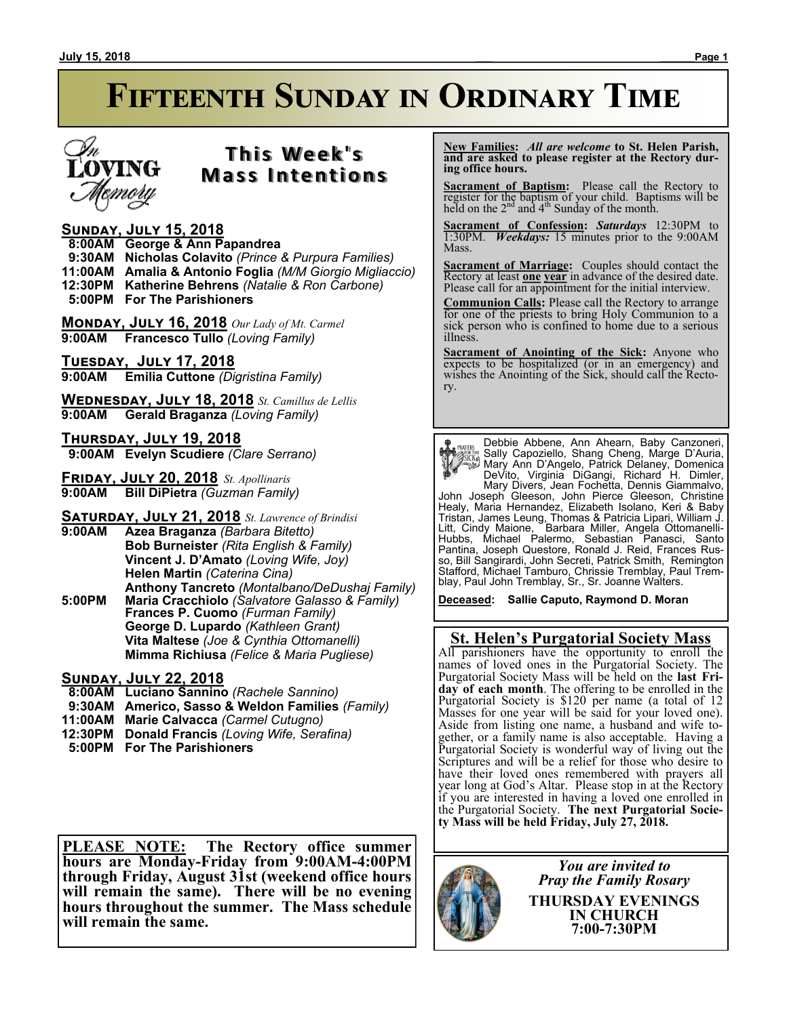# **Fifteenth Sunday in Ordinary Time**



# **T h i s We e k ' s Mass Intentions**

#### **Sunday, July 15, 2018**

 **8:00AM George & Ann Papandrea 9:30AM Nicholas Colavito** *(Prince & Purpura Families)* **11:00AM Amalia & Antonio Foglia** *(M/M Giorgio Migliaccio)*

**12:30PM Katherine Behrens** *(Natalie & Ron Carbone)*

 **5:00PM For The Parishioners**

**Monday, July 16, 2018** *Our Lady of Mt. Carmel* **9:00AM Francesco Tullo** *(Loving Family)*

**Tuesday, July 17, 2018 9:00AM Emilia Cuttone** *(Digristina Family)*

**Wednesday, July 18, 2018** *St. Camillus de Lellis* **9:00AM Gerald Braganza** *(Loving Family)*

**Thursday, July 19, 2018 9:00AM Evelyn Scudiere** *(Clare Serrano)*

**Friday, July 20, 2018** *St. Apollinaris* **9:00AM Bill DiPietra** *(Guzman Family)*

**Saturday, July 21, 2018** *St. Lawrence of Brindisi* **9:00AM Azea Braganza** *(Barbara Bitetto)* **Bob Burneister** *(Rita English & Family)* **Vincent J. D'Amato** *(Loving Wife, Joy)*

**Helen Martin** *(Caterina Cina)* **Anthony Tancreto** *(Montalbano/DeDushaj Family)* **5:00PM Maria Cracchiolo** *(Salvatore Galasso & Family)* **Frances P. Cuomo** *(Furman Family)* **George D. Lupardo** *(Kathleen Grant)* **Vita Maltese** *(Joe & Cynthia Ottomanelli)* **Mimma Richiusa** *(Felice & Maria Pugliese)*

#### **Sunday, July 22, 2018**

- **8:00AM Luciano Sannino** *(Rachele Sannino)*
- **9:30AM Americo, Sasso & Weldon Families** *(Family)*
- **11:00AM Marie Calvacca** *(Carmel Cutugno)*
- **12:30PM Donald Francis** *(Loving Wife, Serafina)*
- **5:00PM For The Parishioners**

**PLEASE NOTE: The Rectory office summer hours are Monday-Friday from 9:00AM-4:00PM through Friday, August 31st (weekend office hours will remain the same). There will be no evening hours throughout the summer. The Mass schedule will remain the same.**

 **New Families:** *All are welcome* **to St. Helen Parish, and are asked to please register at the Rectory during office hours.**

**Sacrament of Baptism:** Please call the Rectory to register for the baptism of your child. Baptisms will be held on the  $2<sup>nd</sup>$  and  $4<sup>th</sup>$  Sunday of the month.

**Sacrament of Confession:** *Saturdays* 12:30PM to 1:30PM. *Weekdays:* 15 minutes prior to the 9:00AM Mass.

**Sacrament of Marriage:**Couples should contact the Rectory at least **one year** in advance of the desired date. Please call for an appointment for the initial interview.

**Communion Calls:** Please call the Rectory to arrange for one of the priests to bring Holy Communion to a sick person who is confined to home due to a serious illness.

**Sacrament of Anointing of the Sick:** Anyone who expects to be hospitalized (or in an emergency) and wishes the Anointing of the Sick, should call the Rectory.

Debbie Abbene, Ann Ahearn, Baby Canzoneri, Sally Capoziello, Shang Cheng, Marge D'Auria, Mary Ann D'Angelo, Patrick Delaney, Domenica DeVito, Virginia DiGangi, Richard H. Dimler, Mary Divers, Jean Fochetta, Dennis Giammalvo, John Joseph Gleeson, John Pierce Gleeson, Christine Healy, Maria Hernandez, Elizabeth Isolano, Keri & Baby Tristan, James Leung, Thomas & Patricia Lipari, William J. Litt, Cindy Maione, Barbara Miller, Angela Ottomanelli-Hubbs, Michael Palermo, Sebastian Panasci, Santo Pantina, Joseph Questore, Ronald J. Reid, Frances Russo, Bill Sangirardi, John Secreti, Patrick Smith, Remington Stafford, Michael Tamburo, Chrissie Tremblay, Paul Tremblay, Paul John Tremblay, Sr., Sr. Joanne Walters.

**Deceased: Sallie Caputo, Raymond D. Moran**

## **St. Helen's Purgatorial Society Mass**

All parishioners have the opportunity to enroll the names of loved ones in the Purgatorial Society. The Purgatorial Society Mass will be held on the **last Friday of each month**. The offering to be enrolled in the Purgatorial Society is \$120 per name (a total of 12 Masses for one year will be said for your loved one). Aside from listing one name, a husband and wife together, or a family name is also acceptable. Having a Purgatorial Society is wonderful way of living out the Scriptures and will be a relief for those who desire to have their loved ones remembered with prayers all year long at God's Altar. Please stop in at the Rectory if you are interested in having a loved one enrolled in the Purgatorial Society. **The next Purgatorial Society Mass will be held Friday, July 27, 2018.**



*You are invited to Pray the Family Rosary* **THURSDAY EVENINGS IN CHURCH 7:00-7:30PM**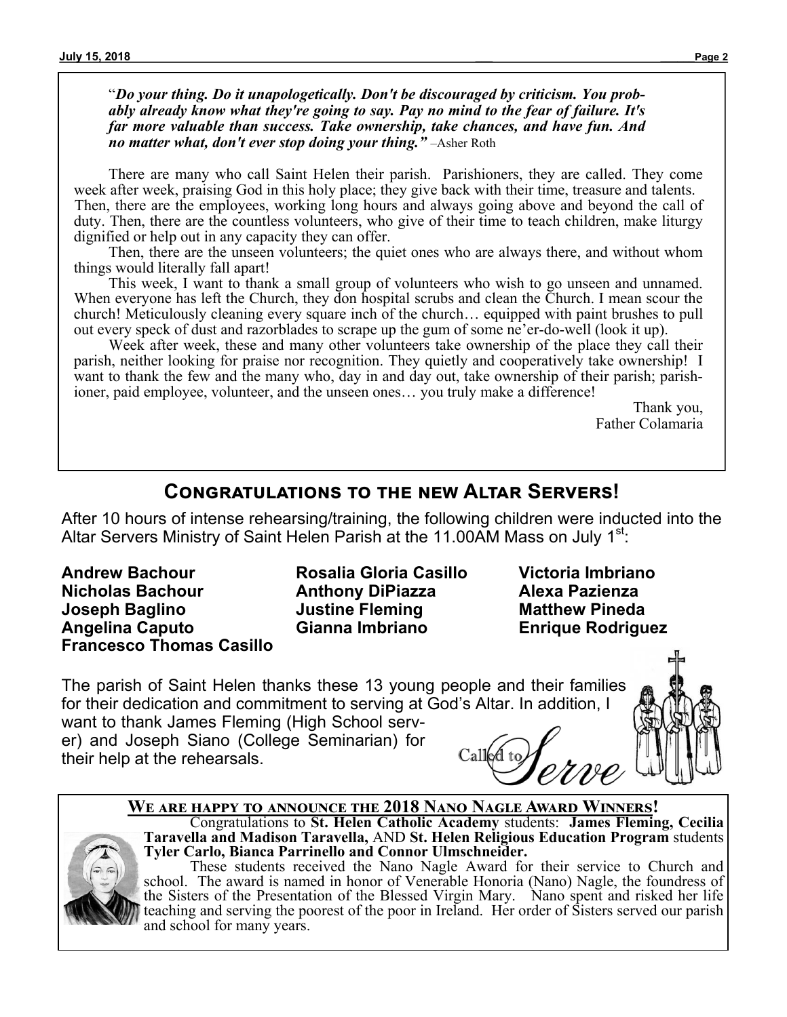"*Do your thing. Do it unapologetically. Don't be discouraged by criticism. You probably already know what they're going to say. Pay no mind to the fear of failure. It's far more valuable than success. Take ownership, take chances, and have fun. And no matter what, don't ever stop doing your thing."* –Asher Roth

There are many who call Saint Helen their parish. Parishioners, they are called. They come week after week, praising God in this holy place; they give back with their time, treasure and talents. Then, there are the employees, working long hours and always going above and beyond the call of duty. Then, there are the countless volunteers, who give of their time to teach children, make liturgy dignified or help out in any capacity they can offer.

Then, there are the unseen volunteers; the quiet ones who are always there, and without whom things would literally fall apart!

This week, I want to thank a small group of volunteers who wish to go unseen and unnamed. When everyone has left the Church, they don hospital scrubs and clean the Church. I mean scour the church! Meticulously cleaning every square inch of the church… equipped with paint brushes to pull out every speck of dust and razorblades to scrape up the gum of some ne'er-do-well (look it up).

Week after week, these and many other volunteers take ownership of the place they call their parish, neither looking for praise nor recognition. They quietly and cooperatively take ownership! I want to thank the few and the many who, day in and day out, take ownership of their parish; parishioner, paid employee, volunteer, and the unseen ones… you truly make a difference!

> Thank you, Father Colamaria

# **Congratulations to the new Altar Servers!**

After 10 hours of intense rehearsing/training, the following children were inducted into the Altar Servers Ministry of Saint Helen Parish at the 11.00AM Mass on July  $1<sup>st</sup>$ .

**Andrew Bachour Nicholas Bachour Joseph Baglino Angelina Caputo Francesco Thomas Casillo**

**Rosalia Gloria Casillo Anthony DiPiazza Justine Fleming Gianna Imbriano**

**Victoria Imbriano Alexa Pazienza Matthew Pineda Enrique Rodriguez**

The parish of Saint Helen thanks these 13 young people and their families for their dedication and commitment to serving at God's Altar. In addition, I

want to thank James Fleming (High School server) and Joseph Siano (College Seminarian) for their help at the rehearsals.





**Taravella and Madison Taravella,** AND **St. Helen Religious Education Program** students **Tyler Carlo, Bianca Parrinello and Connor Ulmschneider.** These students received the Nano Nagle Award for their service to Church and school. The award is named in honor of Venerable Honoria (Nano) Nagle, the foundress of the Sisters of the Presentation of the Blessed Virgin Mary. Nano spent and risked her life teaching and serving the poorest of the poor in Ireland. Her order of Sisters served our parish

Congratulations to **St. Helen Catholic Academy** students: **James Fleming, Cecilia**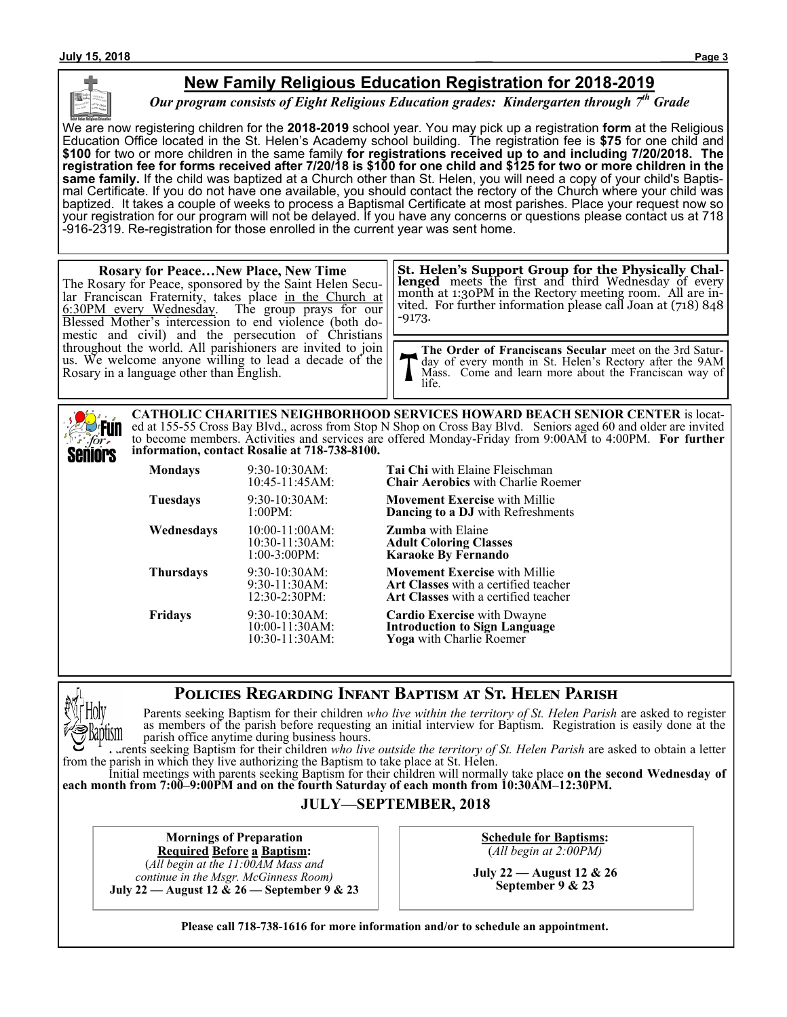

## **New Family Religious Education Registration for 2018-2019**

*Our program consists of Eight Religious Education grades: Kindergarten through 7th Grade*

We are now registering children for the **2018-2019** school year. You may pick up a registration **form** at the Religious Education Office located in the St. Helen's Academy school building. The registration fee is **\$75** for one child and **\$100** for two or more children in the same family **for registrations received up to and including 7/20/2018. The registration fee for forms received after 7/20/18 is \$100 for one child and \$125 for two or more children in the same family.** If the child was baptized at a Church other than St. Helen, you will need a copy of your child's Baptismal Certificate. If you do not have one available, you should contact the rectory of the Church where your child was baptized. It takes a couple of weeks to process a Baptismal Certificate at most parishes. Place your request now so your registration for our program will not be delayed. If you have any concerns or questions please contact us at 718 -916-2319. Re-registration for those enrolled in the current year was sent home.

#### **Rosary for Peace…New Place, New Time** The Rosary for Peace, sponsored by the Saint Helen Secular Franciscan Fraternity, takes place in the Church at 6:30PM every Wednesday. The group prays for our Blessed Mother's intercession to end violence (both domestic and civil) and the persecution of Christians throughout the world. All parishioners are invited to join us. We welcome anyone willing to lead a decade of the Rosary in a language other than English. -9173.

**St. Helen's Support Group for the Physically Challenged** meets the first and third Wednesday of every month at 1:30PM in the Rectory meeting room. All are invited. For further information please call Joan at (718) 848

**The Order of Franciscans Secular** meet on the 3rd Saturday of every month in St. Helen's Rectory after the 9AM Mass. Come and learn more about the Franciscan way of life.

**CATHOLIC CHARITIES NEIGHBORHOOD SERVICES HOWARD BEACH SENIOR CENTER** is located at 155-55 Cross Bay Blvd., across from Stop N Shop on Cross Bay Blvd. Seniors aged 60 and older are invited **Fun** to become members. Activities and services are offered Monday-Friday from 9:00AM to 4:00PM. **For further**  for. **information, contact Rosalie at 718-738-8100.** Seniors

| <b>Mondays</b>   | 9:30-10:30AM:<br>10:45-11:45AM:                        | <b>Tai Chi</b> with Elaine Fleischman<br><b>Chair Aerobics</b> with Charlie Ro<br><b>Movement Exercise</b> with Millie<br>Dancing to a DJ with Refreshm |  |
|------------------|--------------------------------------------------------|---------------------------------------------------------------------------------------------------------------------------------------------------------|--|
| <b>Tuesdays</b>  | $9:30-10:30AM$ :<br>1:00PM:                            |                                                                                                                                                         |  |
| Wednesdays       | $10:00-11:00AM$ :<br>10:30-11:30AM:<br>$1:00-3:00PM$ : | <b>Zumba</b> with Elaine<br><b>Adult Coloring Classes</b><br>Karaoke By Fernando                                                                        |  |
| <b>Thursdays</b> | $9:30-10:30AM$ :<br>9:30-11:30AM:<br>12:30-2:30PM:     | <b>Movement Exercise</b> with Millie<br><b>Art Classes</b> with a certified teac<br><b>Art Classes</b> with a certified teac                            |  |
| <b>Fridays</b>   | 9:30-10:30AM:<br>$10:00-11:30AM$ :<br>10:30-11:30AM:   | <b>Cardio Exercise</b> with Dwayne<br><b>Introduction to Sign Language</b><br>Yoga with Charlie Roemer                                                  |  |

r Aerobics with Charlie Roemer

**Exercise** with Millie ing to a DJ with Refreshments

**Exercise** with Millie 9:30-11:30AM: **Art Classes** with a certified teacher **Iasses** with a certified teacher

## **Policies Regarding Infant Baptism at St. Helen Parish**



Parents seeking Baptism for their children *who live within the territory of St. Helen Parish* are asked to register as members of the parish before requesting an initial interview for Baptism. Registration is easily done at the parish office anytime during business hours.

Parents seeking Baptism for their children *who live outside the territory of St. Helen Parish* are asked to obtain a letter from the parish in which they live authorizing the Baptism to take place at St. Helen.

Initial meetings with parents seeking Baptism for their children will normally take place **on the second Wednesday of each month from 7:00–9:00PM and on the fourth Saturday of each month from 10:30AM–12:30PM.**

### **JULY—SEPTEMBER, 2018**

**Mornings of Preparation**

**Required Before a Baptism:** (*All begin at the 11:00AM Mass and continue in the Msgr. McGinness Room)* **July 22 — August 12 & 26 — September 9 & 23** **Schedule for Baptisms:** (*All begin at 2:00PM)*

**July 22 — August 12 & 26 September 9 & 23**

**Please call 718-738-1616 for more information and/or to schedule an appointment.**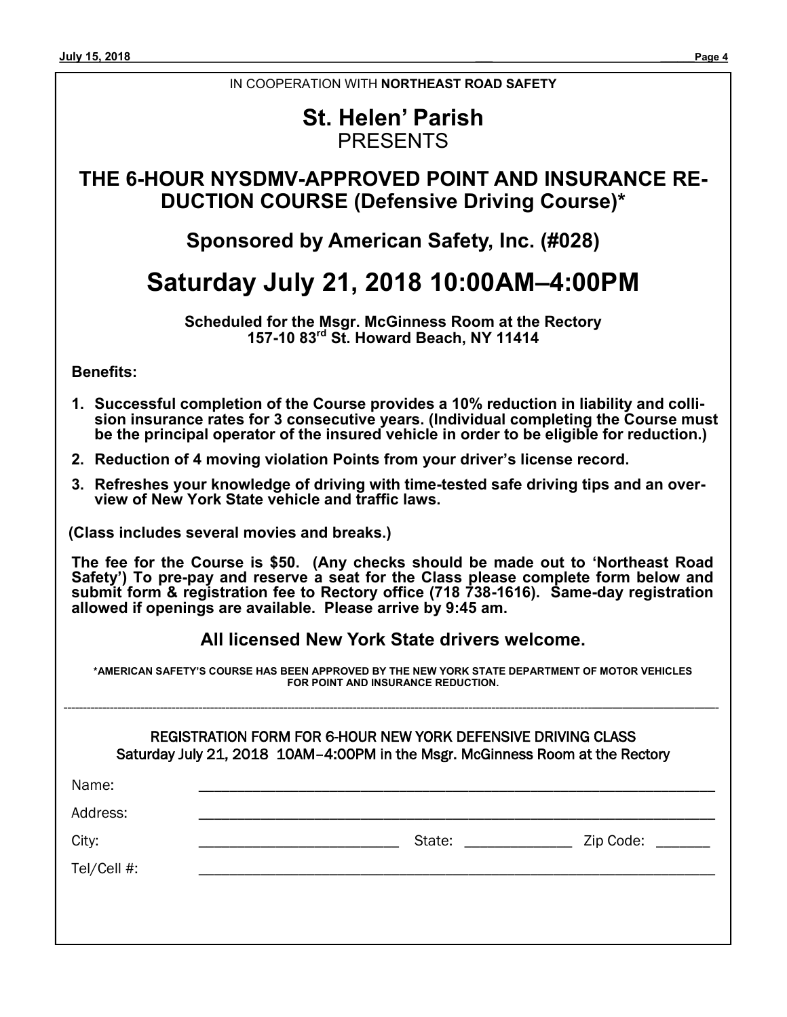#### IN COOPERATION WITH **NORTHEAST ROAD SAFETY**

# **St. Helen' Parish** PRESENTS

# **THE 6-HOUR NYSDMV-APPROVED POINT AND INSURANCE RE-DUCTION COURSE (Defensive Driving Course)\***

# **Sponsored by American Safety, Inc. (#028)**

# **Saturday July 21, 2018 10:00AM–4:00PM**

**Scheduled for the Msgr. McGinness Room at the Rectory 157-10 83rd St. Howard Beach, NY 11414**

**Benefits:**

- **1. Successful completion of the Course provides a 10% reduction in liability and collision insurance rates for 3 consecutive years. (Individual completing the Course must be the principal operator of the insured vehicle in order to be eligible for reduction.)**
- **2. Reduction of 4 moving violation Points from your driver's license record.**
- **3. Refreshes your knowledge of driving with time-tested safe driving tips and an overview of New York State vehicle and traffic laws.**

**(Class includes several movies and breaks.)**

**The fee for the Course is \$50. (Any checks should be made out to 'Northeast Road Safety') To pre-pay and reserve a seat for the Class please complete form below and submit form & registration fee to Rectory office (718 738-1616). Same-day registration allowed if openings are available. Please arrive by 9:45 am.**

### **All licensed New York State drivers welcome.**

**\*AMERICAN SAFETY'S COURSE HAS BEEN APPROVED BY THE NEW YORK STATE DEPARTMENT OF MOTOR VEHICLES FOR POINT AND INSURANCE REDUCTION.**

-----------------------------------------------------------------------------------------------------------------------------------------————————————-

|  | REGISTRATION FORM FOR 6-HOUR NEW YORK DEFENSIVE DRIVING CLASS                 |
|--|-------------------------------------------------------------------------------|
|  | Saturday July 21, 2018 10AM-4:00PM in the Msgr. McGinness Room at the Rectory |

| Name:       |                  |                  |
|-------------|------------------|------------------|
| Address:    |                  |                  |
| City:       | State: _________ | Zip Code: ______ |
| Tel/Cell #: |                  |                  |
|             |                  |                  |
|             |                  |                  |